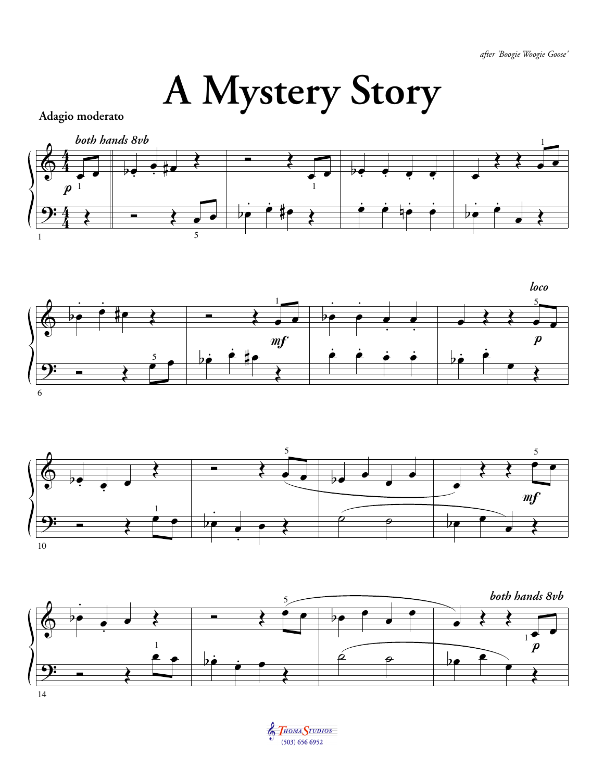## A Mystery Story